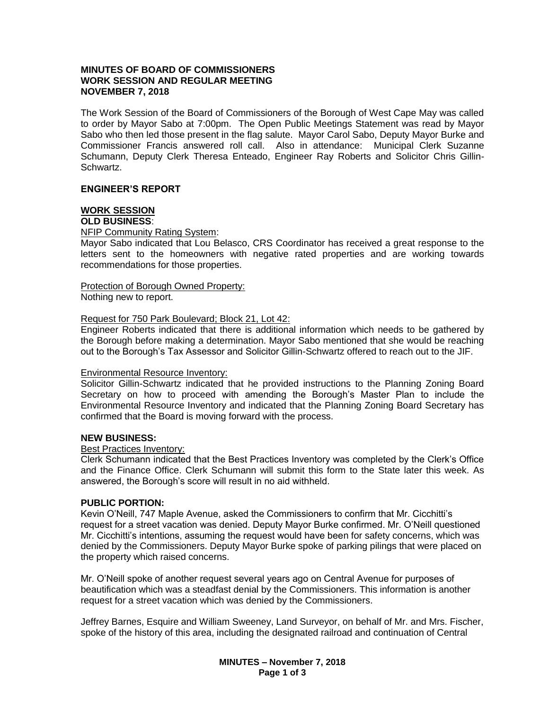# **MINUTES OF BOARD OF COMMISSIONERS WORK SESSION AND REGULAR MEETING NOVEMBER 7, 2018**

The Work Session of the Board of Commissioners of the Borough of West Cape May was called to order by Mayor Sabo at 7:00pm. The Open Public Meetings Statement was read by Mayor Sabo who then led those present in the flag salute. Mayor Carol Sabo, Deputy Mayor Burke and Commissioner Francis answered roll call. Also in attendance: Municipal Clerk Suzanne Schumann, Deputy Clerk Theresa Enteado, Engineer Ray Roberts and Solicitor Chris Gillin-Schwartz.

#### **ENGINEER'S REPORT**

#### **WORK SESSION OLD BUSINESS**:

# NFIP Community Rating System:

Mayor Sabo indicated that Lou Belasco, CRS Coordinator has received a great response to the letters sent to the homeowners with negative rated properties and are working towards recommendations for those properties.

# Protection of Borough Owned Property:

Nothing new to report.

#### Request for 750 Park Boulevard; Block 21, Lot 42:

Engineer Roberts indicated that there is additional information which needs to be gathered by the Borough before making a determination. Mayor Sabo mentioned that she would be reaching out to the Borough's Tax Assessor and Solicitor Gillin-Schwartz offered to reach out to the JIF.

#### Environmental Resource Inventory:

Solicitor Gillin-Schwartz indicated that he provided instructions to the Planning Zoning Board Secretary on how to proceed with amending the Borough's Master Plan to include the Environmental Resource Inventory and indicated that the Planning Zoning Board Secretary has confirmed that the Board is moving forward with the process.

#### **NEW BUSINESS:**

#### Best Practices Inventory:

Clerk Schumann indicated that the Best Practices Inventory was completed by the Clerk's Office and the Finance Office. Clerk Schumann will submit this form to the State later this week. As answered, the Borough's score will result in no aid withheld.

# **PUBLIC PORTION:**

Kevin O'Neill, 747 Maple Avenue, asked the Commissioners to confirm that Mr. Cicchitti's request for a street vacation was denied. Deputy Mayor Burke confirmed. Mr. O'Neill questioned Mr. Cicchitti's intentions, assuming the request would have been for safety concerns, which was denied by the Commissioners. Deputy Mayor Burke spoke of parking pilings that were placed on the property which raised concerns.

Mr. O'Neill spoke of another request several years ago on Central Avenue for purposes of beautification which was a steadfast denial by the Commissioners. This information is another request for a street vacation which was denied by the Commissioners.

Jeffrey Barnes, Esquire and William Sweeney, Land Surveyor, on behalf of Mr. and Mrs. Fischer, spoke of the history of this area, including the designated railroad and continuation of Central

> **MINUTES – November 7, 2018 Page 1 of 3**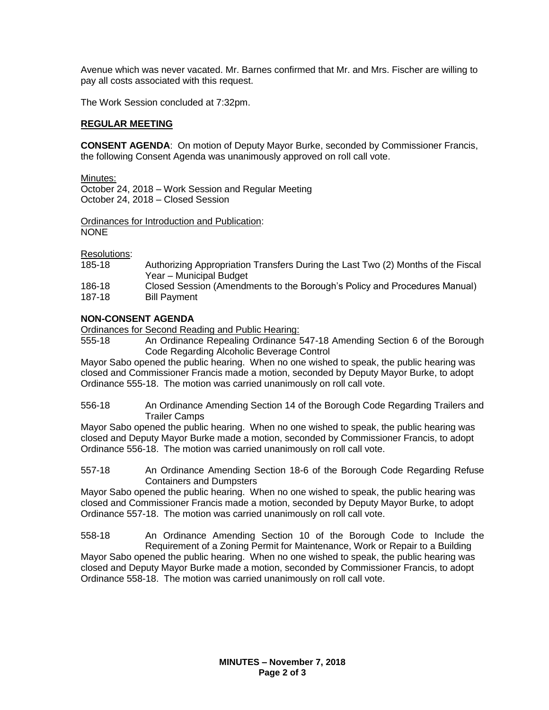Avenue which was never vacated. Mr. Barnes confirmed that Mr. and Mrs. Fischer are willing to pay all costs associated with this request.

The Work Session concluded at 7:32pm.

### **REGULAR MEETING**

**CONSENT AGENDA**: On motion of Deputy Mayor Burke, seconded by Commissioner Francis, the following Consent Agenda was unanimously approved on roll call vote.

Minutes:

October 24, 2018 – Work Session and Regular Meeting October 24, 2018 – Closed Session

Ordinances for Introduction and Publication: NONE

Resolutions:

- 185-18 Authorizing Appropriation Transfers During the Last Two (2) Months of the Fiscal Year – Municipal Budget
- 186-18 Closed Session (Amendments to the Borough's Policy and Procedures Manual) 187-18 Bill Payment

# **NON-CONSENT AGENDA**

Ordinances for Second Reading and Public Hearing:

555-18 An Ordinance Repealing Ordinance 547-18 Amending Section 6 of the Borough Code Regarding Alcoholic Beverage Control

Mayor Sabo opened the public hearing. When no one wished to speak, the public hearing was closed and Commissioner Francis made a motion, seconded by Deputy Mayor Burke, to adopt Ordinance 555-18. The motion was carried unanimously on roll call vote.

556-18 An Ordinance Amending Section 14 of the Borough Code Regarding Trailers and Trailer Camps

Mayor Sabo opened the public hearing. When no one wished to speak, the public hearing was closed and Deputy Mayor Burke made a motion, seconded by Commissioner Francis, to adopt Ordinance 556-18. The motion was carried unanimously on roll call vote.

557-18 An Ordinance Amending Section 18-6 of the Borough Code Regarding Refuse Containers and Dumpsters

Mayor Sabo opened the public hearing. When no one wished to speak, the public hearing was closed and Commissioner Francis made a motion, seconded by Deputy Mayor Burke, to adopt Ordinance 557-18. The motion was carried unanimously on roll call vote.

558-18 An Ordinance Amending Section 10 of the Borough Code to Include the Requirement of a Zoning Permit for Maintenance, Work or Repair to a Building Mayor Sabo opened the public hearing. When no one wished to speak, the public hearing was closed and Deputy Mayor Burke made a motion, seconded by Commissioner Francis, to adopt Ordinance 558-18. The motion was carried unanimously on roll call vote.